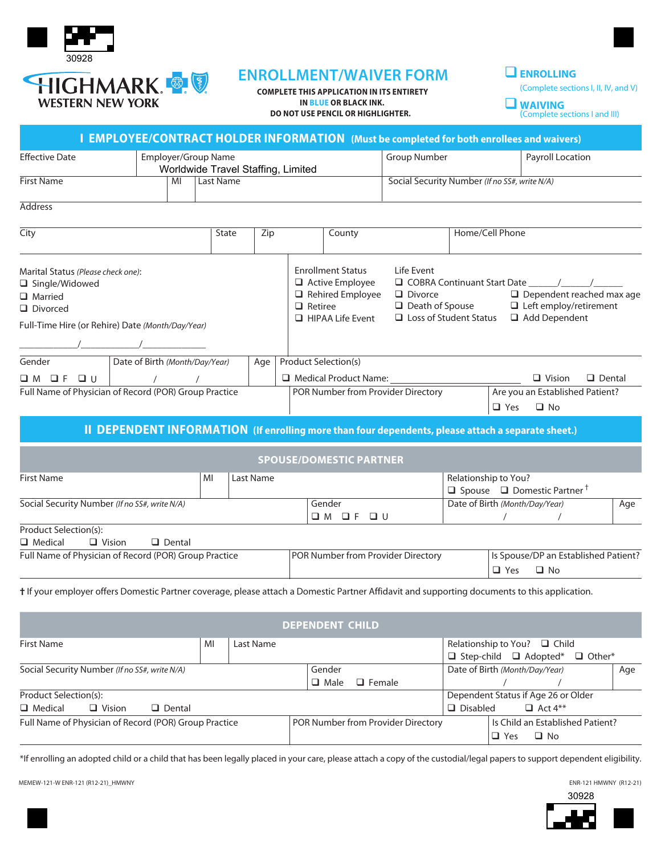

# **ENROLLMENT/WAIVER FORM**

 **COMPLETE THIS APPLICATION IN ITS ENTIRETY IN BLUE OR BLACK INK. DO NOT USE PENCIL OR HIGHLIGHTER.**

# q**ENROLLING**

(Complete sections I, II, IV, and V)

| $\n  W$ WAIVING               |
|-------------------------------|
| (Complete sections I and III) |

|                                                                                                                                                                 |                                |                     |           |                                    |                                                                                                  |                                                                                                          | DO NOT OSE FENCIL ON FIIGHLIGHTEN.                                                                                  |               |                                                                                         |                                |                 | (Complete sections I and III)                                                      |     |     |
|-----------------------------------------------------------------------------------------------------------------------------------------------------------------|--------------------------------|---------------------|-----------|------------------------------------|--------------------------------------------------------------------------------------------------|----------------------------------------------------------------------------------------------------------|---------------------------------------------------------------------------------------------------------------------|---------------|-----------------------------------------------------------------------------------------|--------------------------------|-----------------|------------------------------------------------------------------------------------|-----|-----|
|                                                                                                                                                                 |                                |                     |           |                                    |                                                                                                  |                                                                                                          | I EMPLOYEE/CONTRACT HOLDER INFORMATION (Must be completed for both enrollees and waivers)                           |               |                                                                                         |                                |                 |                                                                                    |     |     |
| <b>Effective Date</b>                                                                                                                                           |                                | Employer/Group Name |           | Worldwide Travel Staffing, Limited |                                                                                                  |                                                                                                          |                                                                                                                     |               | <b>Group Number</b>                                                                     | Payroll Location               |                 |                                                                                    |     |     |
| <b>First Name</b>                                                                                                                                               |                                | MI                  | Last Name |                                    |                                                                                                  |                                                                                                          |                                                                                                                     |               | Social Security Number (If no SS#, write N/A)                                           |                                |                 |                                                                                    |     |     |
| <b>Address</b>                                                                                                                                                  |                                |                     |           |                                    |                                                                                                  |                                                                                                          |                                                                                                                     |               |                                                                                         |                                |                 |                                                                                    |     |     |
| City                                                                                                                                                            |                                |                     | State     |                                    | Zip                                                                                              |                                                                                                          | County                                                                                                              |               |                                                                                         |                                | Home/Cell Phone |                                                                                    |     |     |
| Marital Status (Please check one):<br>□ Single/Widowed<br><b>Q</b> Married<br>$\Box$ Divorced<br>Full-Time Hire (or Rehire) Date (Month/Day/Year)<br>$\sqrt{2}$ |                                |                     |           |                                    |                                                                                                  |                                                                                                          | <b>Enrollment Status</b><br>Active Employee<br>$\Box$ Rehired Employee<br>$\Box$ Retiree<br>$\Box$ HIPAA Life Event |               | Life Event<br>$\Box$ Divorce<br>$\Box$ Death of Spouse<br>$\Box$ Loss of Student Status |                                |                 | $\Box$ Dependent reached max age<br>$\Box$ Left employ/retirement<br>Add Dependent |     |     |
| Gender                                                                                                                                                          | Date of Birth (Month/Day/Year) |                     |           |                                    | Age                                                                                              |                                                                                                          | Product Selection(s)                                                                                                |               |                                                                                         |                                |                 |                                                                                    |     |     |
| $\Box M$ $\Box F$ $\Box U$                                                                                                                                      |                                | $\sqrt{2}$          |           |                                    |                                                                                                  | Medical Product Name: 1997                                                                               |                                                                                                                     |               |                                                                                         |                                | $\Box$ Vision   | $\Box$ Dental                                                                      |     |     |
| Full Name of Physician of Record (POR) Group Practice                                                                                                           |                                |                     |           |                                    | POR Number from Provider Directory<br>Are you an Established Patient?<br>$\Box$ Yes<br>$\Box$ No |                                                                                                          |                                                                                                                     |               |                                                                                         |                                |                 |                                                                                    |     |     |
|                                                                                                                                                                 |                                |                     |           |                                    |                                                                                                  |                                                                                                          | II DEPENDENT INFORMATION (If enrolling more than four dependents, please attach a separate sheet.)                  |               |                                                                                         |                                |                 |                                                                                    |     |     |
|                                                                                                                                                                 |                                |                     |           |                                    |                                                                                                  |                                                                                                          | <b>SPOUSE/DOMESTIC PARTNER</b>                                                                                      |               |                                                                                         |                                |                 |                                                                                    |     |     |
| <b>First Name</b>                                                                                                                                               | MI<br>Last Name                |                     |           |                                    |                                                                                                  | Relationship to You?<br>$\Box$ Spouse $\Box$ Domestic Partner $^{\dagger}$                               |                                                                                                                     |               |                                                                                         |                                |                 |                                                                                    |     |     |
| Social Security Number (If no SS#, write N/A)                                                                                                                   |                                |                     |           |                                    |                                                                                                  |                                                                                                          | Gender<br>$OM$ OF OU                                                                                                |               |                                                                                         | Date of Birth (Month/Day/Year) |                 |                                                                                    | Age |     |
| Product Selection(s):<br>$\Box$ Medical<br>$\Box$ Vision                                                                                                        |                                | $\Box$ Dental       |           |                                    |                                                                                                  |                                                                                                          |                                                                                                                     |               |                                                                                         |                                |                 |                                                                                    |     |     |
| Full Name of Physician of Record (POR) Group Practice                                                                                                           |                                |                     |           |                                    |                                                                                                  | POR Number from Provider Directory<br>Is Spouse/DP an Established Patient?<br>$\Box$ Yes<br>$\square$ No |                                                                                                                     |               |                                                                                         |                                |                 |                                                                                    |     |     |
| t If your employer offers Domestic Partner coverage, please attach a Domestic Partner Affidavit and supporting documents to this application.                   |                                |                     |           |                                    |                                                                                                  |                                                                                                          |                                                                                                                     |               |                                                                                         |                                |                 |                                                                                    |     |     |
|                                                                                                                                                                 |                                |                     |           |                                    |                                                                                                  |                                                                                                          | <b>DEPENDENT CHILD</b>                                                                                              |               |                                                                                         |                                |                 |                                                                                    |     |     |
| <b>First Name</b>                                                                                                                                               |                                |                     | MI        | Last Name                          |                                                                                                  |                                                                                                          |                                                                                                                     |               |                                                                                         | Relationship to You?           |                 | $\Box$ Child<br>$\Box$ Step-child $\Box$ Adopted* $\Box$ Other*                    |     |     |
| Social Security Number (If no SS#, write N/A)                                                                                                                   |                                |                     |           |                                    |                                                                                                  |                                                                                                          | Gender<br>$\Box$ Male                                                                                               | $\Box$ Female |                                                                                         |                                | $\sqrt{2}$      | Date of Birth (Month/Day/Year)                                                     |     | Age |
| Product Selection(s):                                                                                                                                           |                                |                     |           |                                    |                                                                                                  |                                                                                                          |                                                                                                                     |               |                                                                                         |                                |                 | Dependent Status if Age 26 or Older                                                |     |     |

\*If enrolling an adopted child or a child that has been legally placed in your care, please attach a copy of the custodial/legal papers to support dependent eligibility.

Full Name of Physician of Record (POR) Group Practice POR Number from Provider Directory | Is Child an Established Patient?

 $\Box$  Medical  $\Box$  Vision  $\Box$  Dental q  $\Box$  Disabled  $\Box$  Act 4\*\*

MEMEW-121-W ENR-121 (R12-21)\_HMWNY

30928

 $\Box$  Yes  $\Box$  No

ENR-121 HMWNY (R12-21)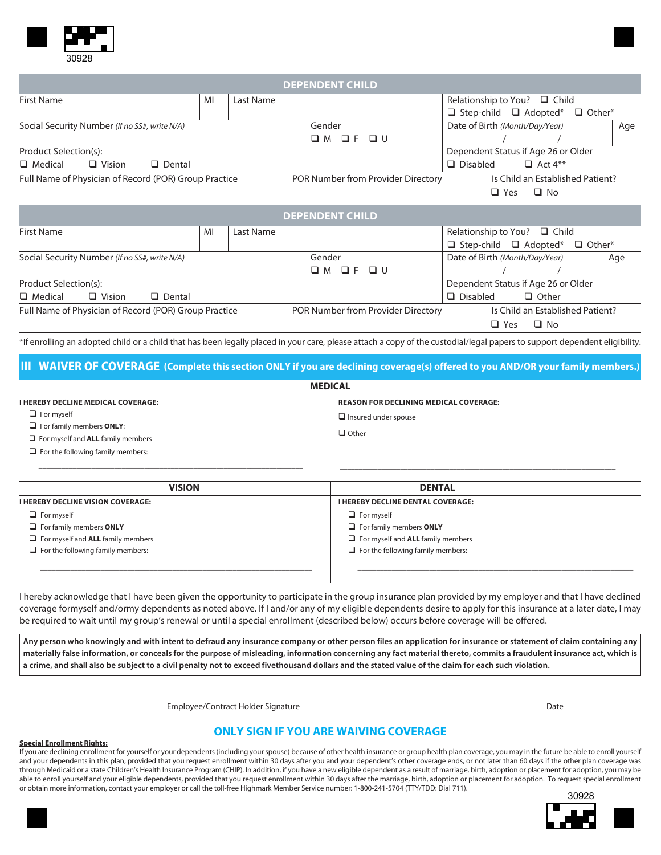

|                                                       |    |                                     |                                   | <b>DEPENDENT CHILD</b>             |                         |                                                    |               |  |  |  |
|-------------------------------------------------------|----|-------------------------------------|-----------------------------------|------------------------------------|-------------------------|----------------------------------------------------|---------------|--|--|--|
| <b>First Name</b>                                     | MI | Last Name                           |                                   |                                    |                         | Relationship to You? □ Child                       |               |  |  |  |
|                                                       |    |                                     |                                   |                                    |                         | $\Box$ Step-child $\Box$ Adopted*<br>$\Box$ Other* |               |  |  |  |
| Social Security Number (If no SS#, write N/A)         |    |                                     |                                   | Gender                             |                         | Date of Birth (Month/Day/Year)                     | Age           |  |  |  |
|                                                       |    |                                     |                                   | QFQU<br>$\square$ M                |                         |                                                    |               |  |  |  |
| Product Selection(s):                                 |    |                                     |                                   |                                    |                         | Dependent Status if Age 26 or Older                |               |  |  |  |
| $\Box$ Vision<br>$\Box$ Medical<br>$\Box$ Dental      |    |                                     |                                   |                                    | $\Box$ Disabled         | $\Box$ Act 4**                                     |               |  |  |  |
| Full Name of Physician of Record (POR) Group Practice |    |                                     |                                   | POR Number from Provider Directory |                         | Is Child an Established Patient?                   |               |  |  |  |
|                                                       |    |                                     |                                   |                                    | $\Box$ No<br>$\Box$ Yes |                                                    |               |  |  |  |
|                                                       |    |                                     |                                   | <b>DEPENDENT CHILD</b>             |                         |                                                    |               |  |  |  |
| <b>First Name</b>                                     | MI | Last Name                           |                                   |                                    |                         | Relationship to You? $\Box$ Child                  |               |  |  |  |
|                                                       |    |                                     | $\Box$ Step-child $\Box$ Adopted* |                                    |                         |                                                    | $\Box$ Other* |  |  |  |
| Social Security Number (If no SS#, write N/A)         |    |                                     |                                   | Gender                             |                         | Date of Birth (Month/Day/Year)                     |               |  |  |  |
|                                                       |    |                                     |                                   | $\Box$<br>$\square$ M<br>$\Box$ F  |                         |                                                    |               |  |  |  |
| Product Selection(s):                                 |    | Dependent Status if Age 26 or Older |                                   |                                    |                         |                                                    |               |  |  |  |
| $\Box$ Medical<br>$\Box$ Dental<br>$\Box$ Vision      |    |                                     |                                   | $\Box$ Disabled                    | $\Box$ Other            |                                                    |               |  |  |  |
| Full Name of Physician of Record (POR) Group Practice |    |                                     |                                   | POR Number from Provider Directory |                         | Is Child an Established Patient?                   |               |  |  |  |
|                                                       |    |                                     |                                   | $\Box$ No<br>$\Box$ Yes            |                         |                                                    |               |  |  |  |

\*If enrolling an adopted child or a child that has been legally placed in your care, please attach a copy of the custodial/legal papers to support dependent eligibility.

#### **III WAIVER OF COVERAGE (Complete this section ONLY if you are declining coverage(s) offered to you AND/OR your family members.)**

| <b>MEDICAL</b>                                                                                              |                                               |  |  |  |  |  |  |  |
|-------------------------------------------------------------------------------------------------------------|-----------------------------------------------|--|--|--|--|--|--|--|
| <b>I HEREBY DECLINE MEDICAL COVERAGE:</b>                                                                   | <b>REASON FOR DECLINING MEDICAL COVERAGE:</b> |  |  |  |  |  |  |  |
| $\Box$ For myself                                                                                           | $\Box$ Insured under spouse                   |  |  |  |  |  |  |  |
| $\Box$ For family members <b>ONLY</b> :                                                                     |                                               |  |  |  |  |  |  |  |
| $\Box$ For myself and <b>ALL</b> family members                                                             | $\Box$ Other                                  |  |  |  |  |  |  |  |
| $\Box$ . Finally, $\epsilon$ and $\epsilon$ is a set of $\epsilon$ and $\epsilon$ are the set of $\epsilon$ |                                               |  |  |  |  |  |  |  |

or the following family members

 $\overline{\phantom{a}}$  , and the set of the set of the set of the set of the set of the set of the set of the set of the set of the set of the set of the set of the set of the set of the set of the set of the set of the set of the s

| <b>VISION</b>                            | <b>DENTAL</b>                            |
|------------------------------------------|------------------------------------------|
| <b>I HEREBY DECLINE VISION COVERAGE:</b> | I HEREBY DECLINE DENTAL COVERAGE:        |
| $\Box$ For myself                        | $\Box$ For myself                        |
| $\Box$ For family members ONLY           | $\Box$ For family members ONLY           |
| $\Box$ For myself and ALL family members | $\Box$ For myself and ALL family members |
| $\Box$ For the following family members: | $\Box$ For the following family members: |
|                                          |                                          |
|                                          |                                          |

I hereby acknowledge that I have been given the opportunity to participate in the group insurance plan provided by my employer and that I have declined coverage formyself and/ormy dependents as noted above. If I and/or any of my eligible dependents desire to apply for this insurance at a later date, I may be required to wait until my group's renewal or until a special enrollment (described below) occurs before coverage will be offered.

**Any person who knowingly and with intent to defraud any insurance company or other person files an application for insurance or statement of claim containing any materially false information, or conceals for the purpose of misleading, information concerning any fact material thereto, commits a fraudulent insurance act, which is a crime, and shall also be subject to a civil penalty not to exceed fivethousand dollars and the stated value of the claim for each such violation.**

Employee/Contract Holder Signature Date Date Date Date Date Date

\_\_\_\_\_\_\_\_\_\_\_\_\_\_\_\_\_\_\_\_\_\_\_\_\_\_\_\_\_\_\_\_\_\_\_\_\_\_\_\_\_\_\_\_\_\_\_\_\_\_\_\_\_\_\_\_\_\_\_\_\_\_\_\_\_\_\_\_\_\_\_\_\_

#### **ONLY SIGN IF YOU ARE WAIVING COVERAGE**

#### **Special Enrollment Rights:**

If you are declining enrollment for yourself or your dependents (including your spouse) because of other health insurance or group health plan coverage, you may in the future be able to enroll yourself and your dependents in this plan, provided that you request enrollment within 30 days after you and your dependent's other coverage ends, or not later than 60 days if the other plan coverage was through Medicaid or a state Children's Health Insurance Program (CHIP). In addition, if you have a new eligible dependent as a result of marriage, birth, adoption or placement for adoption, you may be able to enroll yourself and your eligible dependents, provided that you request enrollment within 30 days after the marriage, birth, adoption or placement for adoption. To request special enrollment or obtain more information, contact your employer or call the toll-free Highmark Member Service number: 1-800-241-5704 (TTY/TDD: Dial 711).



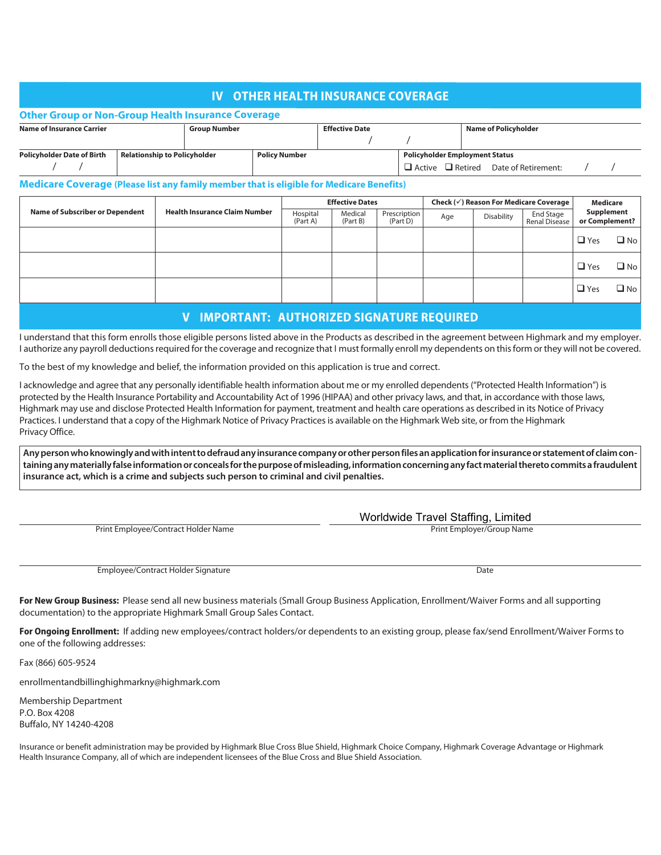# **IV OTHER HEALTH INSURANCE COVERAGE**

|                                                                          | <b>Other Group or Non-Group Health Insurance Coverage</b> |                     |                      |                       |                                       |                                                  |  |  |  |  |
|--------------------------------------------------------------------------|-----------------------------------------------------------|---------------------|----------------------|-----------------------|---------------------------------------|--------------------------------------------------|--|--|--|--|
| <b>Name of Insurance Carrier</b>                                         |                                                           | <b>Group Number</b> |                      | <b>Effective Date</b> |                                       | Name of Policyholder                             |  |  |  |  |
|                                                                          |                                                           |                     |                      |                       |                                       |                                                  |  |  |  |  |
| <b>Relationship to Policyholder</b><br><b>Policyholder Date of Birth</b> |                                                           |                     | <b>Policy Number</b> |                       | <b>Policyholder Employment Status</b> |                                                  |  |  |  |  |
|                                                                          |                                                           |                     |                      |                       |                                       | $\Box$ Active $\Box$ Retired Date of Retirement: |  |  |  |  |

#### **Medicare Coverage (Please list any family member that is eligible for Medicare Benefits)**

|                                        | <b>Health Insurance Claim Number</b> |                      | <b>Effective Dates</b> |                          | Check $(\checkmark)$ Reason For Medicare Coverage | Medicare   |                            |                              |              |
|----------------------------------------|--------------------------------------|----------------------|------------------------|--------------------------|---------------------------------------------------|------------|----------------------------|------------------------------|--------------|
| <b>Name of Subscriber or Dependent</b> |                                      | Hospital<br>(Part A) | Medical<br>(Part B)    | Prescription<br>(Part D) | Age                                               | Disability | End Stage<br>Renal Disease | Supplement<br>or Complement? |              |
|                                        |                                      |                      |                        |                          |                                                   |            |                            | $\Box$ Yes                   | $\Box$ No    |
|                                        |                                      |                      |                        |                          |                                                   |            |                            | $\Box$ Yes                   | $\square$ No |
|                                        |                                      |                      |                        |                          |                                                   |            |                            | $\Box$ Yes                   | $\Box$ No    |

## **V IMPORTANT: AUTHORIZED SIGNATURE REQUIRED**

I understand that this form enrolls those eligible persons listed above in the Products as described in the agreement between Highmark and my employer. I authorize any payroll deductions required for the coverage and recognize that I must formally enroll my dependents on this form or they will not be covered.

To the best of my knowledge and belief, the information provided on this application is true and correct.

I acknowledge and agree that any personally identifiable health information about me or my enrolled dependents ("Protected Health Information") is protected by the Health Insurance Portability and Accountability Act of 1996 (HIPAA) and other privacy laws, and that, in accordance with those laws, Highmark may use and disclose Protected Health Information for payment, treatment and health care operations as described in its Notice of Privacy Practices. I understand that a copy of the Highmark Notice of Privacy Practices is available on the Highmark Web site, or from the Highmark Privacy Office.

**Any person who knowingly and with intent to defraud any insurance company or other person files an application for insurance or statement of claim containing any materially false information or conceals for the purpose of misleading, information concerning any fact material thereto commits a fraudulent insurance act, which is a crime and subjects such person to criminal and civil penalties.**

| Print Emplovee/Contract Holder Name |  |
|-------------------------------------|--|

Employee/Contract Holder Signature Date and Contract Contract Date Date Date Date

Worldwide Travel Staffing, Limited

Print Employer/Group Name

**For New Group Business:** Please send all new business materials (Small Group Business Application, Enrollment/Waiver Forms and all supporting documentation) to the appropriate Highmark Small Group Sales Contact.

**For Ongoing Enrollment:** If adding new employees/contract holders/or dependents to an existing group, please fax/send Enrollment/Waiver Forms to one of the following addresses:

Fax (866) 605-9524

enrollmentandbillinghighmarkny@highmark.com

Membership Department P.O. Box 4208 Buffalo, NY 14240-4208

Insurance or benefit administration may be provided by Highmark Blue Cross Blue Shield, Highmark Choice Company, Highmark Coverage Advantage or Highmark Health Insurance Company, all of which are independent licensees of the Blue Cross and Blue Shield Association.